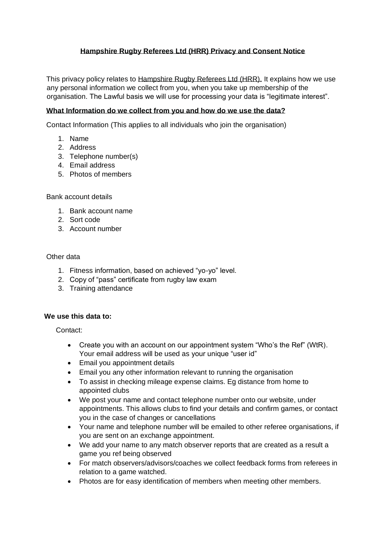# **Hampshire Rugby Referees Ltd (HRR) Privacy and Consent Notice**

This privacy policy relates to Hampshire Rugby Referees Ltd (HRR). It explains how we use any personal information we collect from you, when you take up membership of the organisation. The Lawful basis we will use for processing your data is "legitimate interest".

## **What Information do we collect from you and how do we use the data?**

Contact Information (This applies to all individuals who join the organisation)

- 1. Name
- 2. Address
- 3. Telephone number(s)
- 4. Email address
- 5. Photos of members

## Bank account details

- 1. Bank account name
- 2. Sort code
- 3. Account number

## Other data

- 1. Fitness information, based on achieved "yo-yo" level.
- 2. Copy of "pass" certificate from rugby law exam
- 3. Training attendance

## **We use this data to:**

Contact:

- Create you with an account on our appointment system "Who's the Ref" (WtR). Your email address will be used as your unique "user id"
- Email you appointment details
- Email you any other information relevant to running the organisation
- To assist in checking mileage expense claims. Eg distance from home to appointed clubs
- We post your name and contact telephone number onto our website, under appointments. This allows clubs to find your details and confirm games, or contact you in the case of changes or cancellations
- Your name and telephone number will be emailed to other referee organisations, if you are sent on an exchange appointment.
- We add your name to any match observer reports that are created as a result a game you ref being observed
- For match observers/advisors/coaches we collect feedback forms from referees in relation to a game watched.
- Photos are for easy identification of members when meeting other members.